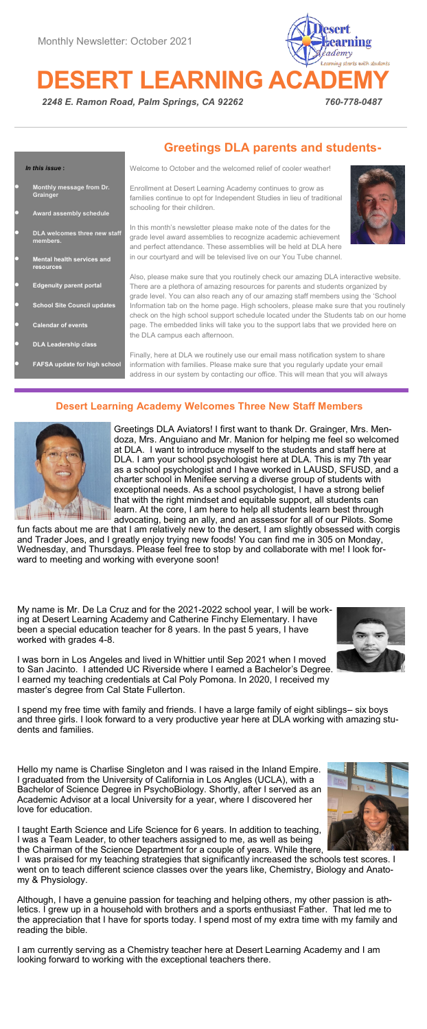**DESERT LEARNING** 



*2248 E. Ramon Road, Palm Springs, CA 92262 760-778-0487* 

|        |                                                | <b>Greetings DLA parents and students-</b>                                                                                                                                                                                                                   |  |  |  |
|--------|------------------------------------------------|--------------------------------------------------------------------------------------------------------------------------------------------------------------------------------------------------------------------------------------------------------------|--|--|--|
|        | In this issue:                                 | Welcome to October and the welcomed relief of cooler weather!                                                                                                                                                                                                |  |  |  |
| n      | Monthly message from Dr.<br>Grainger           | Enrollment at Desert Learning Academy continues to grow as<br>families continue to opt for Independent Studies in lieu of traditional                                                                                                                        |  |  |  |
| $\Box$ | Award assembly schedule                        | schooling for their children.                                                                                                                                                                                                                                |  |  |  |
| n      | DLA welcomes three new staff<br>members.       | In this month's newsletter please make note of the dates for the<br>grade level award assemblies to recognize academic achievement<br>and perfect attendance. These assemblies will be held at DLA here                                                      |  |  |  |
| Ω      | <b>Mental health services and</b><br>resources | in our courtyard and will be televised live on our You Tube channel.                                                                                                                                                                                         |  |  |  |
|        |                                                | Also, please make sure that you routinely check our amazing DLA interactive website.                                                                                                                                                                         |  |  |  |
| $\Box$ | <b>Edgenuity parent portal</b>                 | There are a plethora of amazing resources for parents and students organized by<br>grade level. You can also reach any of our amazing staff members using the 'School                                                                                        |  |  |  |
| $\Box$ | <b>School Site Council updates</b>             | Information tab on the home page. High schoolers, please make sure that you routinely                                                                                                                                                                        |  |  |  |
| $\Box$ | <b>Calendar of events</b>                      | check on the high school support schedule located under the Students tab on our home<br>page. The embedded links will take you to the support labs that we provided here on<br>the DLA campus each afternoon.                                                |  |  |  |
| $\Box$ | <b>DLA Leadership class</b>                    |                                                                                                                                                                                                                                                              |  |  |  |
| Ω      | FAFSA update for high school                   | Finally, here at DLA we routinely use our email mass notification system to share<br>information with families. Please make sure that you regularly update your email<br>address in our system by contacting our office. This will mean that you will always |  |  |  |

# **Desert Learning Academy Welcomes Three New Staff Members**



Greetings DLA Aviators! I first want to thank Dr. Grainger, Mrs. Mendoza, Mrs. Anguiano and Mr. Manion for helping me feel so welcomed at DLA. I want to introduce myself to the students and staff here at DLA. I am your school psychologist here at DLA. This is my 7th year as a school psychologist and I have worked in LAUSD, SFUSD, and a charter school in Menifee serving a diverse group of students with exceptional needs. As a school psychologist, I have a strong belief that with the right mindset and equitable support, all students can learn. At the core, I am here to help all students learn best through advocating, being an ally, and an assessor for all of our Pilots. Some

fun facts about me are that I am relatively new to the desert, I am slightly obsessed with corgis and Trader Joes, and I greatly enjoy trying new foods! You can find me in 305 on Monday, Wednesday, and Thursdays. Please feel free to stop by and collaborate with me! I look forward to meeting and working with everyone soon!

My name is Mr. De La Cruz and for the 2021-2022 school year, I will be working at Desert Learning Academy and Catherine Finchy Elementary. I have been a special education teacher for 8 years. In the past 5 years, I have worked with grades 4-8.



I was born in Los Angeles and lived in Whittier until Sep 2021 when I moved to San Jacinto. I attended UC Riverside where I earned a Bachelor's Degree. I earned my teaching credentials at Cal Poly Pomona. In 2020, I received my master's degree from Cal State Fullerton.

I spend my free time with family and friends. I have a large family of eight siblings– six boys and three girls. I look forward to a very productive year here at DLA working with amazing students and families.

Hello my name is Charlise Singleton and I was raised in the Inland Empire. I graduated from the University of California in Los Angles (UCLA), with a Bachelor of Science Degree in PsychoBiology. Shortly, after I served as an Academic Advisor at a local University for a year, where I discovered her love for education.



I taught Earth Science and Life Science for 6 years. In addition to teaching, I was a Team Leader, to other teachers assigned to me, as well as being the Chairman of the Science Department for a couple of years. While there,

I was praised for my teaching strategies that significantly increased the schools test scores. I went on to teach different science classes over the years like, Chemistry, Biology and Anatomy & Physiology.

Although, I have a genuine passion for teaching and helping others, my other passion is ath-<br>letics I grew up in a household with brothers and a sports enthusiast Father. That led me to letics. I grew up in a household with brothers and a sports enthusiast Father. the appreciation that I have for sports today. I spend most of my extra time with my family and reading the bible.

I am currently serving as a Chemistry teacher here at Desert Learning Academy and I am looking forward to working with the exceptional teachers there.